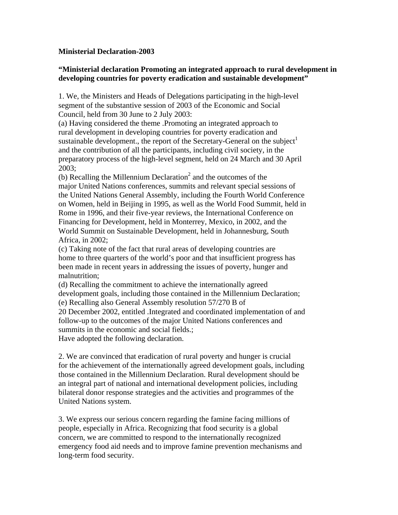## **Ministerial Declaration-2003**

## **"Ministerial declaration Promoting an integrated approach to rural development in developing countries for poverty eradication and sustainable development"**

1. We, the Ministers and Heads of Delegations participating in the high-level segment of the substantive session of 2003 of the Economic and Social Council, held from 30 June to 2 July 2003:

(a) Having considered the theme .Promoting an integrated approach to rural development in developing countries for poverty eradication and sustainable development., the report of the Secretary-General on the subject<sup>1</sup> and the contribution of all the participants, including civil society, in the preparatory process of the high-level segment, held on 24 March and 30 April 2003;

(b) Recalling the Millennium Declaration<sup>2</sup> and the outcomes of the major United Nations conferences, summits and relevant special sessions of the United Nations General Assembly, including the Fourth World Conference on Women, held in Beijing in 1995, as well as the World Food Summit, held in Rome in 1996, and their five-year reviews, the International Conference on Financing for Development, held in Monterrey, Mexico, in 2002, and the World Summit on Sustainable Development, held in Johannesburg, South Africa, in 2002;

(c) Taking note of the fact that rural areas of developing countries are home to three quarters of the world's poor and that insufficient progress has been made in recent years in addressing the issues of poverty, hunger and malnutrition;

(d) Recalling the commitment to achieve the internationally agreed development goals, including those contained in the Millennium Declaration;

(e) Recalling also General Assembly resolution 57/270 B of

20 December 2002, entitled .Integrated and coordinated implementation of and follow-up to the outcomes of the major United Nations conferences and summits in the economic and social fields.;

Have adopted the following declaration.

2. We are convinced that eradication of rural poverty and hunger is crucial for the achievement of the internationally agreed development goals, including those contained in the Millennium Declaration. Rural development should be an integral part of national and international development policies, including bilateral donor response strategies and the activities and programmes of the United Nations system.

3. We express our serious concern regarding the famine facing millions of people, especially in Africa. Recognizing that food security is a global concern, we are committed to respond to the internationally recognized emergency food aid needs and to improve famine prevention mechanisms and long-term food security.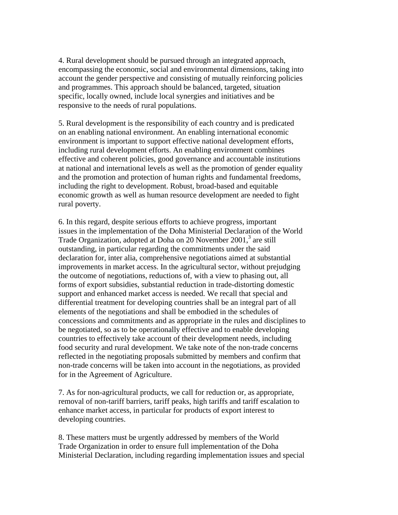4. Rural development should be pursued through an integrated approach, encompassing the economic, social and environmental dimensions, taking into account the gender perspective and consisting of mutually reinforcing policies and programmes. This approach should be balanced, targeted, situation specific, locally owned, include local synergies and initiatives and be responsive to the needs of rural populations.

5. Rural development is the responsibility of each country and is predicated on an enabling national environment. An enabling international economic environment is important to support effective national development efforts, including rural development efforts. An enabling environment combines effective and coherent policies, good governance and accountable institutions at national and international levels as well as the promotion of gender equality and the promotion and protection of human rights and fundamental freedoms, including the right to development. Robust, broad-based and equitable economic growth as well as human resource development are needed to fight rural poverty.

6. In this regard, despite serious efforts to achieve progress, important issues in the implementation of the Doha Ministerial Declaration of the World Trade Organization, adopted at Doha on 20 November 2001,<sup>3</sup> are still outstanding, in particular regarding the commitments under the said declaration for, inter alia, comprehensive negotiations aimed at substantial improvements in market access. In the agricultural sector, without prejudging the outcome of negotiations, reductions of, with a view to phasing out, all forms of export subsidies, substantial reduction in trade-distorting domestic support and enhanced market access is needed. We recall that special and differential treatment for developing countries shall be an integral part of all elements of the negotiations and shall be embodied in the schedules of concessions and commitments and as appropriate in the rules and disciplines to be negotiated, so as to be operationally effective and to enable developing countries to effectively take account of their development needs, including food security and rural development. We take note of the non-trade concerns reflected in the negotiating proposals submitted by members and confirm that non-trade concerns will be taken into account in the negotiations, as provided for in the Agreement of Agriculture.

7. As for non-agricultural products, we call for reduction or, as appropriate, removal of non-tariff barriers, tariff peaks, high tariffs and tariff escalation to enhance market access, in particular for products of export interest to developing countries.

8. These matters must be urgently addressed by members of the World Trade Organization in order to ensure full implementation of the Doha Ministerial Declaration, including regarding implementation issues and special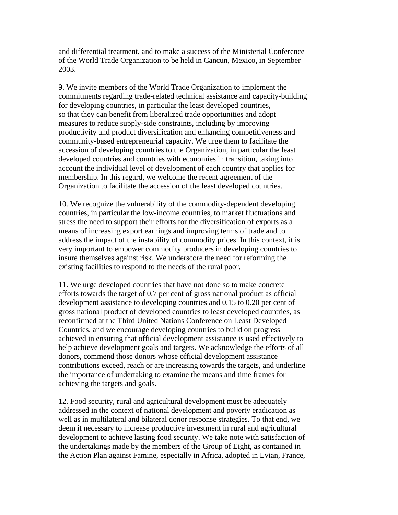and differential treatment, and to make a success of the Ministerial Conference of the World Trade Organization to be held in Cancun, Mexico, in September 2003.

9. We invite members of the World Trade Organization to implement the commitments regarding trade-related technical assistance and capacity-building for developing countries, in particular the least developed countries, so that they can benefit from liberalized trade opportunities and adopt measures to reduce supply-side constraints, including by improving productivity and product diversification and enhancing competitiveness and community-based entrepreneurial capacity. We urge them to facilitate the accession of developing countries to the Organization, in particular the least developed countries and countries with economies in transition, taking into account the individual level of development of each country that applies for membership. In this regard, we welcome the recent agreement of the Organization to facilitate the accession of the least developed countries.

10. We recognize the vulnerability of the commodity-dependent developing countries, in particular the low-income countries, to market fluctuations and stress the need to support their efforts for the diversification of exports as a means of increasing export earnings and improving terms of trade and to address the impact of the instability of commodity prices. In this context, it is very important to empower commodity producers in developing countries to insure themselves against risk. We underscore the need for reforming the existing facilities to respond to the needs of the rural poor.

11. We urge developed countries that have not done so to make concrete efforts towards the target of 0.7 per cent of gross national product as official development assistance to developing countries and 0.15 to 0.20 per cent of gross national product of developed countries to least developed countries, as reconfirmed at the Third United Nations Conference on Least Developed Countries, and we encourage developing countries to build on progress achieved in ensuring that official development assistance is used effectively to help achieve development goals and targets. We acknowledge the efforts of all donors, commend those donors whose official development assistance contributions exceed, reach or are increasing towards the targets, and underline the importance of undertaking to examine the means and time frames for achieving the targets and goals.

12. Food security, rural and agricultural development must be adequately addressed in the context of national development and poverty eradication as well as in multilateral and bilateral donor response strategies. To that end, we deem it necessary to increase productive investment in rural and agricultural development to achieve lasting food security. We take note with satisfaction of the undertakings made by the members of the Group of Eight, as contained in the Action Plan against Famine, especially in Africa, adopted in Evian, France,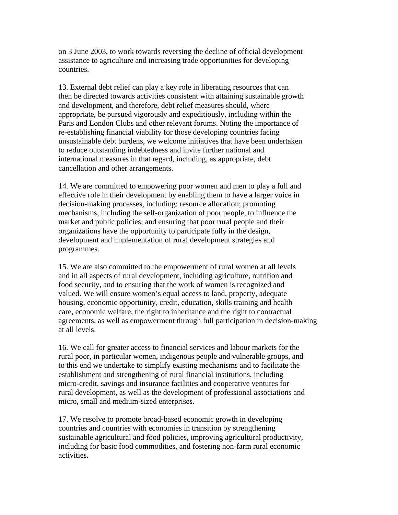on 3 June 2003, to work towards reversing the decline of official development assistance to agriculture and increasing trade opportunities for developing countries.

13. External debt relief can play a key role in liberating resources that can then be directed towards activities consistent with attaining sustainable growth and development, and therefore, debt relief measures should, where appropriate, be pursued vigorously and expeditiously, including within the Paris and London Clubs and other relevant forums. Noting the importance of re-establishing financial viability for those developing countries facing unsustainable debt burdens, we welcome initiatives that have been undertaken to reduce outstanding indebtedness and invite further national and international measures in that regard, including, as appropriate, debt cancellation and other arrangements.

14. We are committed to empowering poor women and men to play a full and effective role in their development by enabling them to have a larger voice in decision-making processes, including: resource allocation; promoting mechanisms, including the self-organization of poor people, to influence the market and public policies; and ensuring that poor rural people and their organizations have the opportunity to participate fully in the design, development and implementation of rural development strategies and programmes.

15. We are also committed to the empowerment of rural women at all levels and in all aspects of rural development, including agriculture, nutrition and food security, and to ensuring that the work of women is recognized and valued. We will ensure women's equal access to land, property, adequate housing, economic opportunity, credit, education, skills training and health care, economic welfare, the right to inheritance and the right to contractual agreements, as well as empowerment through full participation in decision-making at all levels.

16. We call for greater access to financial services and labour markets for the rural poor, in particular women, indigenous people and vulnerable groups, and to this end we undertake to simplify existing mechanisms and to facilitate the establishment and strengthening of rural financial institutions, including micro-credit, savings and insurance facilities and cooperative ventures for rural development, as well as the development of professional associations and micro, small and medium-sized enterprises.

17. We resolve to promote broad-based economic growth in developing countries and countries with economies in transition by strengthening sustainable agricultural and food policies, improving agricultural productivity, including for basic food commodities, and fostering non-farm rural economic activities.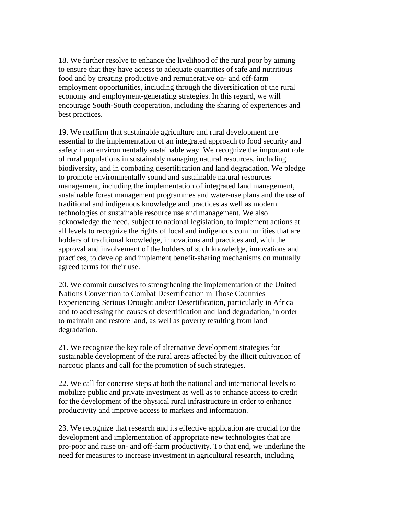18. We further resolve to enhance the livelihood of the rural poor by aiming to ensure that they have access to adequate quantities of safe and nutritious food and by creating productive and remunerative on- and off-farm employment opportunities, including through the diversification of the rural economy and employment-generating strategies. In this regard, we will encourage South-South cooperation, including the sharing of experiences and best practices.

19. We reaffirm that sustainable agriculture and rural development are essential to the implementation of an integrated approach to food security and safety in an environmentally sustainable way. We recognize the important role of rural populations in sustainably managing natural resources, including biodiversity, and in combating desertification and land degradation. We pledge to promote environmentally sound and sustainable natural resources management, including the implementation of integrated land management, sustainable forest management programmes and water-use plans and the use of traditional and indigenous knowledge and practices as well as modern technologies of sustainable resource use and management. We also acknowledge the need, subject to national legislation, to implement actions at all levels to recognize the rights of local and indigenous communities that are holders of traditional knowledge, innovations and practices and, with the approval and involvement of the holders of such knowledge, innovations and practices, to develop and implement benefit-sharing mechanisms on mutually agreed terms for their use.

20. We commit ourselves to strengthening the implementation of the United Nations Convention to Combat Desertification in Those Countries Experiencing Serious Drought and/or Desertification, particularly in Africa and to addressing the causes of desertification and land degradation, in order to maintain and restore land, as well as poverty resulting from land degradation.

21. We recognize the key role of alternative development strategies for sustainable development of the rural areas affected by the illicit cultivation of narcotic plants and call for the promotion of such strategies.

22. We call for concrete steps at both the national and international levels to mobilize public and private investment as well as to enhance access to credit for the development of the physical rural infrastructure in order to enhance productivity and improve access to markets and information.

23. We recognize that research and its effective application are crucial for the development and implementation of appropriate new technologies that are pro-poor and raise on- and off-farm productivity. To that end, we underline the need for measures to increase investment in agricultural research, including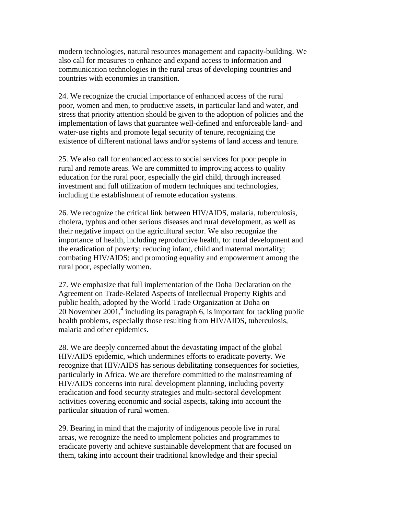modern technologies, natural resources management and capacity-building. We also call for measures to enhance and expand access to information and communication technologies in the rural areas of developing countries and countries with economies in transition.

24. We recognize the crucial importance of enhanced access of the rural poor, women and men, to productive assets, in particular land and water, and stress that priority attention should be given to the adoption of policies and the implementation of laws that guarantee well-defined and enforceable land- and water-use rights and promote legal security of tenure, recognizing the existence of different national laws and/or systems of land access and tenure.

25. We also call for enhanced access to social services for poor people in rural and remote areas. We are committed to improving access to quality education for the rural poor, especially the girl child, through increased investment and full utilization of modern techniques and technologies, including the establishment of remote education systems.

26. We recognize the critical link between HIV/AIDS, malaria, tuberculosis, cholera, typhus and other serious diseases and rural development, as well as their negative impact on the agricultural sector. We also recognize the importance of health, including reproductive health, to: rural development and the eradication of poverty; reducing infant, child and maternal mortality; combating HIV/AIDS; and promoting equality and empowerment among the rural poor, especially women.

27. We emphasize that full implementation of the Doha Declaration on the Agreement on Trade-Related Aspects of Intellectual Property Rights and public health, adopted by the World Trade Organization at Doha on 20 November 2001,<sup>4</sup> including its paragraph  $\overline{6}$ , is important for tackling public health problems, especially those resulting from HIV/AIDS, tuberculosis, malaria and other epidemics.

28. We are deeply concerned about the devastating impact of the global HIV/AIDS epidemic, which undermines efforts to eradicate poverty. We recognize that HIV/AIDS has serious debilitating consequences for societies, particularly in Africa. We are therefore committed to the mainstreaming of HIV/AIDS concerns into rural development planning, including poverty eradication and food security strategies and multi-sectoral development activities covering economic and social aspects, taking into account the particular situation of rural women.

29. Bearing in mind that the majority of indigenous people live in rural areas, we recognize the need to implement policies and programmes to eradicate poverty and achieve sustainable development that are focused on them, taking into account their traditional knowledge and their special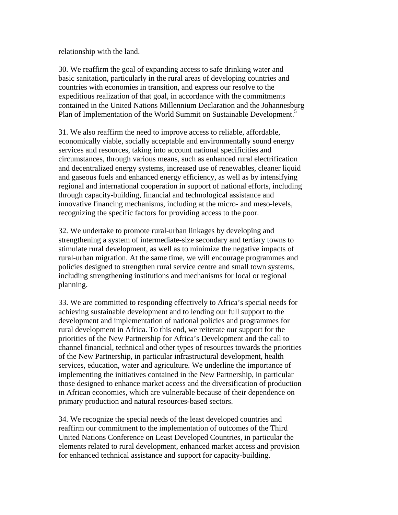relationship with the land.

30. We reaffirm the goal of expanding access to safe drinking water and basic sanitation, particularly in the rural areas of developing countries and countries with economies in transition, and express our resolve to the expeditious realization of that goal, in accordance with the commitments contained in the United Nations Millennium Declaration and the Johannesburg Plan of Implementation of the World Summit on Sustainable Development.<sup>5</sup>

31. We also reaffirm the need to improve access to reliable, affordable, economically viable, socially acceptable and environmentally sound energy services and resources, taking into account national specificities and circumstances, through various means, such as enhanced rural electrification and decentralized energy systems, increased use of renewables, cleaner liquid and gaseous fuels and enhanced energy efficiency, as well as by intensifying regional and international cooperation in support of national efforts, including through capacity-building, financial and technological assistance and innovative financing mechanisms, including at the micro- and meso-levels, recognizing the specific factors for providing access to the poor.

32. We undertake to promote rural-urban linkages by developing and strengthening a system of intermediate-size secondary and tertiary towns to stimulate rural development, as well as to minimize the negative impacts of rural-urban migration. At the same time, we will encourage programmes and policies designed to strengthen rural service centre and small town systems, including strengthening institutions and mechanisms for local or regional planning.

33. We are committed to responding effectively to Africa's special needs for achieving sustainable development and to lending our full support to the development and implementation of national policies and programmes for rural development in Africa. To this end, we reiterate our support for the priorities of the New Partnership for Africa's Development and the call to channel financial, technical and other types of resources towards the priorities of the New Partnership, in particular infrastructural development, health services, education, water and agriculture. We underline the importance of implementing the initiatives contained in the New Partnership, in particular those designed to enhance market access and the diversification of production in African economies, which are vulnerable because of their dependence on primary production and natural resources-based sectors.

34. We recognize the special needs of the least developed countries and reaffirm our commitment to the implementation of outcomes of the Third United Nations Conference on Least Developed Countries, in particular the elements related to rural development, enhanced market access and provision for enhanced technical assistance and support for capacity-building.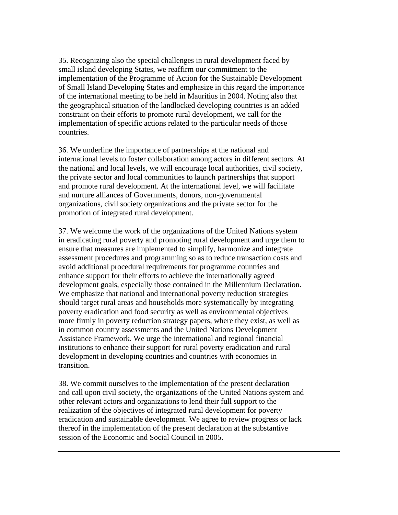35. Recognizing also the special challenges in rural development faced by small island developing States, we reaffirm our commitment to the implementation of the Programme of Action for the Sustainable Development of Small Island Developing States and emphasize in this regard the importance of the international meeting to be held in Mauritius in 2004. Noting also that the geographical situation of the landlocked developing countries is an added constraint on their efforts to promote rural development, we call for the implementation of specific actions related to the particular needs of those countries.

36. We underline the importance of partnerships at the national and international levels to foster collaboration among actors in different sectors. At the national and local levels, we will encourage local authorities, civil society, the private sector and local communities to launch partnerships that support and promote rural development. At the international level, we will facilitate and nurture alliances of Governments, donors, non-governmental organizations, civil society organizations and the private sector for the promotion of integrated rural development.

37. We welcome the work of the organizations of the United Nations system in eradicating rural poverty and promoting rural development and urge them to ensure that measures are implemented to simplify, harmonize and integrate assessment procedures and programming so as to reduce transaction costs and avoid additional procedural requirements for programme countries and enhance support for their efforts to achieve the internationally agreed development goals, especially those contained in the Millennium Declaration. We emphasize that national and international poverty reduction strategies should target rural areas and households more systematically by integrating poverty eradication and food security as well as environmental objectives more firmly in poverty reduction strategy papers, where they exist, as well as in common country assessments and the United Nations Development Assistance Framework. We urge the international and regional financial institutions to enhance their support for rural poverty eradication and rural development in developing countries and countries with economies in transition.

38. We commit ourselves to the implementation of the present declaration and call upon civil society, the organizations of the United Nations system and other relevant actors and organizations to lend their full support to the realization of the objectives of integrated rural development for poverty eradication and sustainable development. We agree to review progress or lack thereof in the implementation of the present declaration at the substantive session of the Economic and Social Council in 2005.